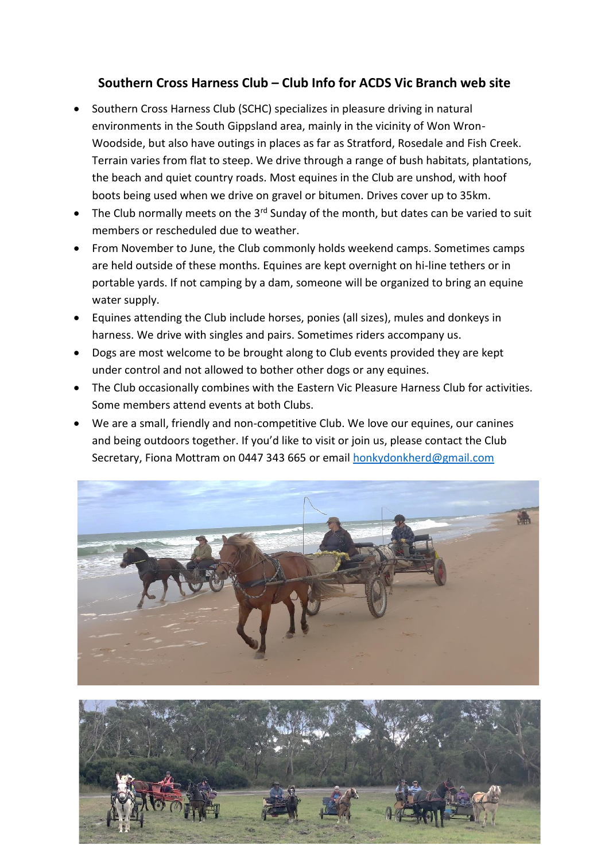## **Southern Cross Harness Club – Club Info for ACDS Vic Branch web site**

- Southern Cross Harness Club (SCHC) specializes in pleasure driving in natural environments in the South Gippsland area, mainly in the vicinity of Won Wron-Woodside, but also have outings in places as far as Stratford, Rosedale and Fish Creek. Terrain varies from flat to steep. We drive through a range of bush habitats, plantations, the beach and quiet country roads. Most equines in the Club are unshod, with hoof boots being used when we drive on gravel or bitumen. Drives cover up to 35km.
- The Club normally meets on the 3<sup>rd</sup> Sunday of the month, but dates can be varied to suit members or rescheduled due to weather.
- From November to June, the Club commonly holds weekend camps. Sometimes camps are held outside of these months. Equines are kept overnight on hi-line tethers or in portable yards. If not camping by a dam, someone will be organized to bring an equine water supply.
- Equines attending the Club include horses, ponies (all sizes), mules and donkeys in harness. We drive with singles and pairs. Sometimes riders accompany us.
- Dogs are most welcome to be brought along to Club events provided they are kept under control and not allowed to bother other dogs or any equines.
- The Club occasionally combines with the Eastern Vic Pleasure Harness Club for activities. Some members attend events at both Clubs.
- We are a small, friendly and non-competitive Club. We love our equines, our canines and being outdoors together. If you'd like to visit or join us, please contact the Club Secretary, Fiona Mottram on 0447 343 665 or email [honkydonkherd@gmail.com](mailto:honkydonkherd@gmail.com)